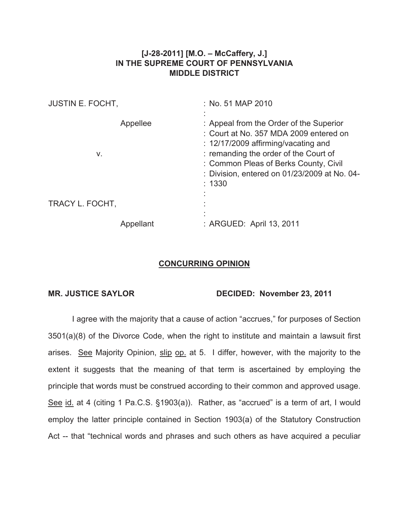## **[J-28-2011] [M.O. – McCaffery, J.] IN THE SUPREME COURT OF PENNSYLVANIA MIDDLE DISTRICT**

| <b>JUSTIN E. FOCHT,</b> |           | : No. 51 MAP 2010                                                                                                                                                                                                                                                               |
|-------------------------|-----------|---------------------------------------------------------------------------------------------------------------------------------------------------------------------------------------------------------------------------------------------------------------------------------|
| v.                      | Appellee  | : Appeal from the Order of the Superior<br>: Court at No. 357 MDA 2009 entered on<br>$\therefore$ 12/17/2009 affirming/vacating and<br>: remanding the order of the Court of<br>: Common Pleas of Berks County, Civil<br>: Division, entered on 01/23/2009 at No. 04-<br>: 1330 |
| TRACY L. FOCHT,         |           |                                                                                                                                                                                                                                                                                 |
|                         | Appellant | : ARGUED: April 13, 2011                                                                                                                                                                                                                                                        |

## **CONCURRING OPINION**

## **MR. JUSTICE SAYLOR DECIDED: November 23, 2011**

I agree with the majority that a cause of action "accrues," for purposes of Section 3501(a)(8) of the Divorce Code, when the right to institute and maintain a lawsuit first arises. See Majority Opinion, slip op. at 5. I differ, however, with the majority to the extent it suggests that the meaning of that term is ascertained by employing the principle that words must be construed according to their common and approved usage. See id. at 4 (citing 1 Pa.C.S. §1903(a)). Rather, as "accrued" is a term of art, I would employ the latter principle contained in Section 1903(a) of the Statutory Construction Act -- that "technical words and phrases and such others as have acquired a peculiar